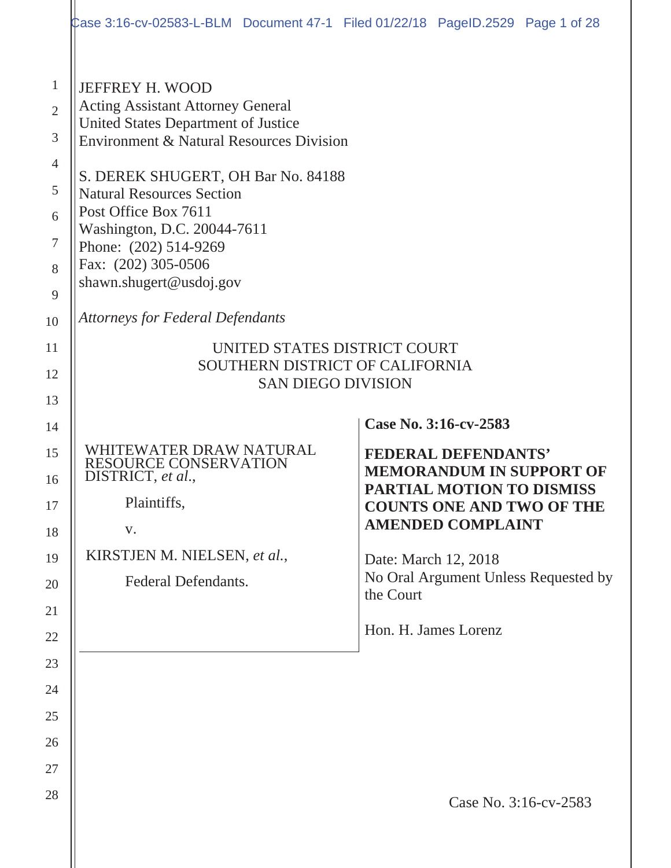|                                                                                                 | Case 3:16-cv-02583-L-BLM Document 47-1 Filed 01/22/18 PageID.2529 Page 1 of 28                                                                                                                                                                                                                                                                                                                                                                          |                                                              |                                  |                                      |  |
|-------------------------------------------------------------------------------------------------|---------------------------------------------------------------------------------------------------------------------------------------------------------------------------------------------------------------------------------------------------------------------------------------------------------------------------------------------------------------------------------------------------------------------------------------------------------|--------------------------------------------------------------|----------------------------------|--------------------------------------|--|
| $\mathbf{1}$<br>$\overline{2}$<br>3<br>$\overline{4}$<br>5<br>6<br>$\tau$<br>8<br>9<br>10<br>11 | <b>JEFFREY H. WOOD</b><br><b>Acting Assistant Attorney General</b><br>United States Department of Justice<br><b>Environment &amp; Natural Resources Division</b><br>S. DEREK SHUGERT, OH Bar No. 84188<br><b>Natural Resources Section</b><br>Post Office Box 7611<br>Washington, D.C. 20044-7611<br>Phone: (202) 514-9269<br>Fax: (202) 305-0506<br>shawn.shugert@usdoj.gov<br><b>Attorneys for Federal Defendants</b><br>UNITED STATES DISTRICT COURT |                                                              |                                  |                                      |  |
| 12                                                                                              | SOUTHERN DISTRICT OF CALIFORNIA<br><b>SAN DIEGO DIVISION</b>                                                                                                                                                                                                                                                                                                                                                                                            |                                                              |                                  |                                      |  |
| 13<br>14                                                                                        |                                                                                                                                                                                                                                                                                                                                                                                                                                                         |                                                              | Case No. 3:16-cv-2583            |                                      |  |
| 15                                                                                              | WHITEWATER DRAW NATURAL                                                                                                                                                                                                                                                                                                                                                                                                                                 |                                                              | <b>FEDERAL DEFENDANTS'</b>       |                                      |  |
| 16                                                                                              | <b>RESOURCE CONSERVATION</b><br>DISTRICT, et al.,                                                                                                                                                                                                                                                                                                                                                                                                       |                                                              | <b>PARTIAL MOTION TO DISMISS</b> | <b>MEMORANDUM IN SUPPORT OF</b>      |  |
| 17                                                                                              |                                                                                                                                                                                                                                                                                                                                                                                                                                                         | <b>COUNTS ONE AND TWO OF THE</b><br><b>AMENDED COMPLAINT</b> |                                  |                                      |  |
|                                                                                                 | Plaintiffs,                                                                                                                                                                                                                                                                                                                                                                                                                                             |                                                              |                                  |                                      |  |
| 18                                                                                              | V.                                                                                                                                                                                                                                                                                                                                                                                                                                                      |                                                              |                                  |                                      |  |
| 19                                                                                              | KIRSTJEN M. NIELSEN, et al.,                                                                                                                                                                                                                                                                                                                                                                                                                            | Date: March 12, 2018                                         |                                  |                                      |  |
| 20                                                                                              | Federal Defendants.                                                                                                                                                                                                                                                                                                                                                                                                                                     | the Court                                                    |                                  | No Oral Argument Unless Requested by |  |
| 21                                                                                              |                                                                                                                                                                                                                                                                                                                                                                                                                                                         |                                                              | Hon. H. James Lorenz             |                                      |  |
| 22                                                                                              |                                                                                                                                                                                                                                                                                                                                                                                                                                                         |                                                              |                                  |                                      |  |
| 23                                                                                              |                                                                                                                                                                                                                                                                                                                                                                                                                                                         |                                                              |                                  |                                      |  |
| 24<br>25                                                                                        |                                                                                                                                                                                                                                                                                                                                                                                                                                                         |                                                              |                                  |                                      |  |
| 26                                                                                              |                                                                                                                                                                                                                                                                                                                                                                                                                                                         |                                                              |                                  |                                      |  |
| 27                                                                                              |                                                                                                                                                                                                                                                                                                                                                                                                                                                         |                                                              |                                  |                                      |  |
| 28                                                                                              |                                                                                                                                                                                                                                                                                                                                                                                                                                                         |                                                              |                                  | Case No. 3:16-cv-2583                |  |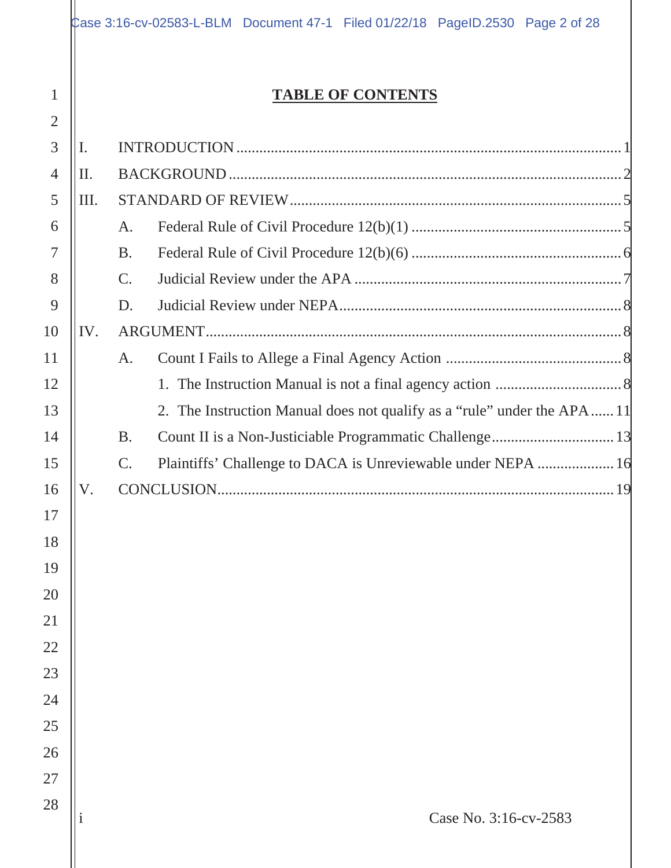1

# **TABLE OF CONTENTS**

| $\overline{2}$ |      |                 |                                                                         |
|----------------|------|-----------------|-------------------------------------------------------------------------|
| 3              | I.   |                 |                                                                         |
| $\overline{4}$ | II.  |                 |                                                                         |
| 5              | III. |                 |                                                                         |
| 6              |      | А.              |                                                                         |
| 7              |      | <b>B.</b>       |                                                                         |
| 8              |      | $\mathcal{C}$ . |                                                                         |
| 9              |      | D.              |                                                                         |
| 10             | IV.  |                 |                                                                         |
| 11             |      | A.              |                                                                         |
| 12             |      |                 |                                                                         |
| 13             |      |                 | 2. The Instruction Manual does not qualify as a "rule" under the APA 11 |
| 14             |      | <b>B.</b>       |                                                                         |
| 15             |      | $\mathcal{C}$ . | Plaintiffs' Challenge to DACA is Unreviewable under NEPA  16            |
| 16             | V.   |                 |                                                                         |
| 17             |      |                 |                                                                         |
| 18             |      |                 |                                                                         |
| 19             |      |                 |                                                                         |
| 20             |      |                 |                                                                         |
| 21             |      |                 |                                                                         |
| 22             |      |                 |                                                                         |
| 23             |      |                 |                                                                         |
| 24             |      |                 |                                                                         |
| 25             |      |                 |                                                                         |
| 26             |      |                 |                                                                         |
| 27             |      |                 |                                                                         |
| 28             | 1    |                 | Case No. 3:16-cv-2583                                                   |
|                |      |                 |                                                                         |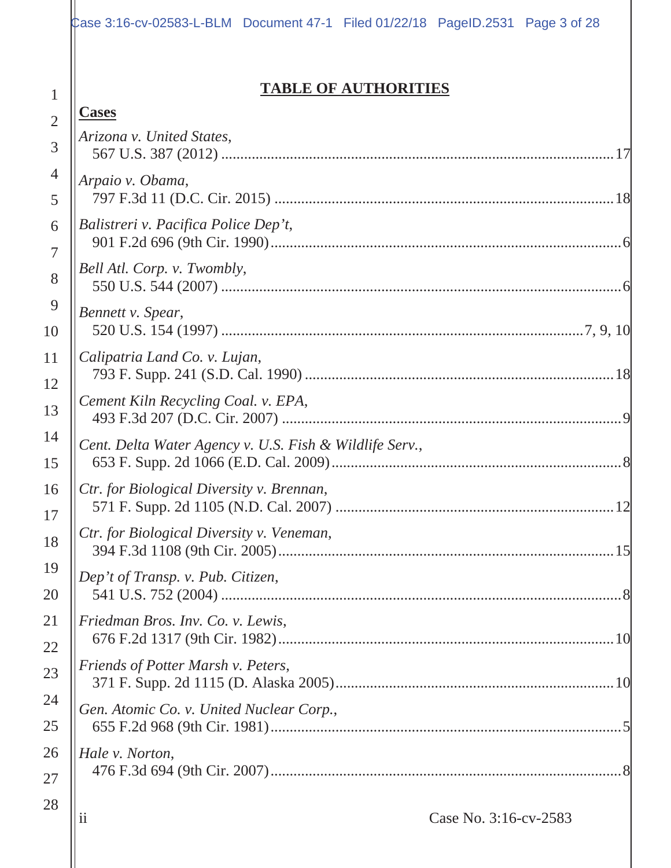# **TABLE OF AUTHORITIES**

| $\overline{2}$ | <b>Cases</b>     |
|----------------|------------------|
| 3              | Arizon<br>567    |
| 4              | Arpaic           |
| 5              | 797              |
| 6              | Balistr          |
| $\overline{7}$ | 901              |
| 8              | Bell Ai<br>550   |
| 9              | Bennei           |
| 10             | 520              |
| 11             | Calipa           |
| 12             | 793              |
| 13             | Cemer<br>493     |
| 14             | Cent. 1          |
| 15             | 653              |
| 16             | $Ctr.$ fo        |
| 17             | 571              |
| 18             | $Ctr.$ fo<br>394 |
| 19             | Dep't            |
| 20             | 541              |
| 21             | Friedn           |
| 22             | 676              |
| 23             | Friend<br>371    |
| 24             | Gen. A           |
| 25             | 655              |
| 26             | Hale v           |
| 27             | 476              |
| 28             |                  |

1

| Arizona v. United States,                               |  |
|---------------------------------------------------------|--|
| Arpaio v. Obama,                                        |  |
| Balistreri v. Pacifica Police Dep't,                    |  |
| Bell Atl. Corp. v. Twombly,                             |  |
| Bennett v. Spear,                                       |  |
| Calipatria Land Co. v. Lujan,                           |  |
| Cement Kiln Recycling Coal. v. EPA,                     |  |
| Cent. Delta Water Agency v. U.S. Fish & Wildlife Serv., |  |
| Ctr. for Biological Diversity v. Brennan,               |  |
| Ctr. for Biological Diversity v. Veneman,               |  |
| Dep't of Transp. v. Pub. Citizen,                       |  |
| Friedman Bros. Inv. Co. v. Lewis,                       |  |
| Friends of Potter Marsh v. Peters,                      |  |
| Gen. Atomic Co. v. United Nuclear Corp.,                |  |
| Hale v. Norton,                                         |  |
|                                                         |  |

 $\frac{1}{11}$  Case No. 3:16-cv-2583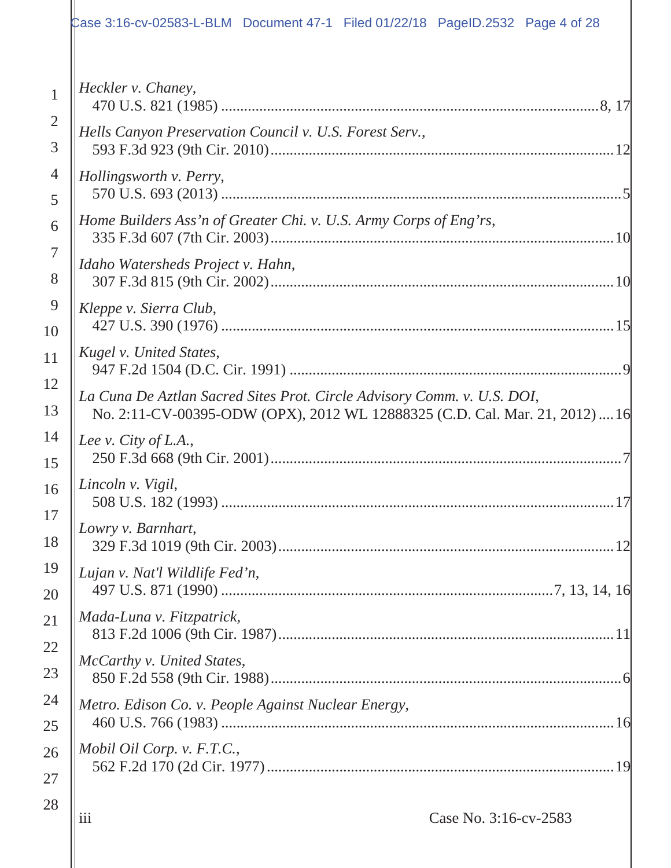# $\text{Case } 3:16$ -cv-02583-L-BLM Document 47-1 Filed 01/22/18 PageID.2532 Page 4 of 28

| $\mathbf{1}$   | Heckler v. Chaney,                                                                                                                                     |
|----------------|--------------------------------------------------------------------------------------------------------------------------------------------------------|
| $\overline{2}$ | Hells Canyon Preservation Council v. U.S. Forest Serv.,                                                                                                |
| 3              |                                                                                                                                                        |
| $\overline{4}$ | Hollingsworth v. Perry,                                                                                                                                |
| 5              |                                                                                                                                                        |
| 6              | Home Builders Ass'n of Greater Chi. v. U.S. Army Corps of Eng'rs,                                                                                      |
| $\overline{7}$ | Idaho Watersheds Project v. Hahn,                                                                                                                      |
| 8              |                                                                                                                                                        |
| 9              | Kleppe v. Sierra Club,                                                                                                                                 |
| 10             |                                                                                                                                                        |
| 11             | Kugel v. United States,                                                                                                                                |
| 12             |                                                                                                                                                        |
| 13             | La Cuna De Aztlan Sacred Sites Prot. Circle Advisory Comm. v. U.S. DOI,<br>No. 2:11-CV-00395-ODW (OPX), 2012 WL 12888325 (C.D. Cal. Mar. 21, 2012)  16 |
| 14             | Lee v. City of L.A.,                                                                                                                                   |
| 15             |                                                                                                                                                        |
| 16             | Lincoln v. Vigil,                                                                                                                                      |
| 17             |                                                                                                                                                        |
| 18             | Lowry v. Barnhart,<br>12                                                                                                                               |
| 19             | Lujan v. Nat'l Wildlife Fed'n,                                                                                                                         |
| 20             |                                                                                                                                                        |
| 21             | Mada-Luna v. Fitzpatrick,                                                                                                                              |
| 22             |                                                                                                                                                        |
| 23             | McCarthy v. United States,                                                                                                                             |
| 24             | Metro. Edison Co. v. People Against Nuclear Energy,                                                                                                    |
| 25             |                                                                                                                                                        |
| 26             | Mobil Oil Corp. v. F.T.C.,                                                                                                                             |
| 27             |                                                                                                                                                        |
| 28             | iii<br>Case No. 3:16-cv-2583                                                                                                                           |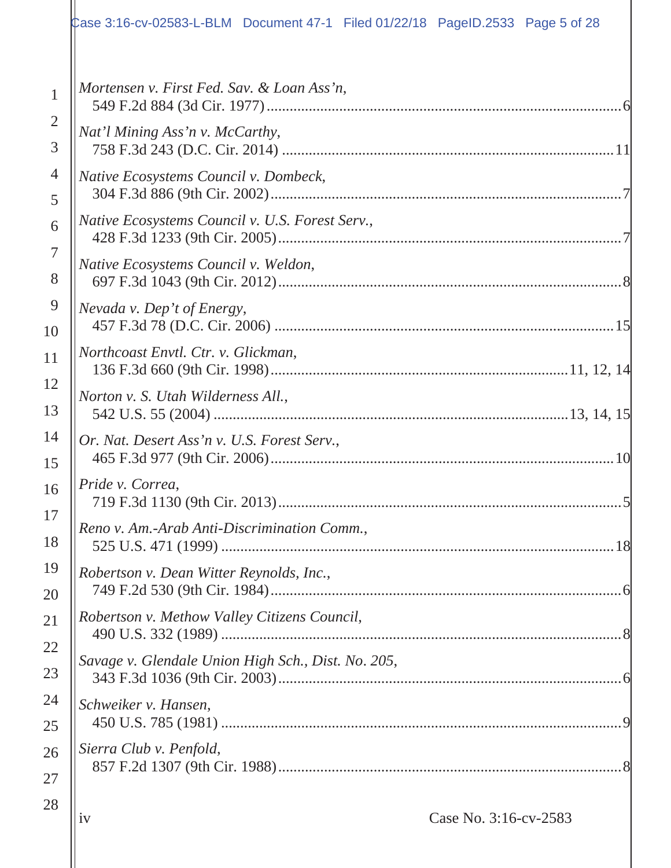# $\frac{1}{2}$  case 3:16-cv-02583-L-BLM Document 47-1 Filed 01/22/18 PageID.2533 Page 5 of 28

| $\mathbf{1}$   | Mortensen v. First Fed. Sav. & Loan Ass'n,         |
|----------------|----------------------------------------------------|
| $\overline{2}$ | Nat'l Mining Ass'n v. McCarthy,                    |
| 3              |                                                    |
| $\overline{4}$ | Native Ecosystems Council v. Dombeck,              |
| 5              |                                                    |
| 6              | Native Ecosystems Council v. U.S. Forest Serv.,    |
| $\overline{7}$ | Native Ecosystems Council v. Weldon,               |
| 8              |                                                    |
| 9              | Nevada v. Dep't of Energy,                         |
| 10             |                                                    |
| 11             | Northcoast Envtl. Ctr. v. Glickman,                |
| 12             | Norton v. S. Utah Wilderness All.,                 |
| 13             |                                                    |
| 14             | Or. Nat. Desert Ass'n v. U.S. Forest Serv.,        |
| 15             |                                                    |
| 16             | Pride v. Correa,                                   |
| 17             | Reno v. Am.-Arab Anti-Discrimination Comm.,        |
| 18             |                                                    |
| 19             | Robertson v. Dean Witter Reynolds, Inc.,           |
| 20             |                                                    |
| 21             | Robertson v. Methow Valley Citizens Council,       |
| 22             | Savage v. Glendale Union High Sch., Dist. No. 205, |
| 23             |                                                    |
| 24             | Schweiker v. Hansen,                               |
| 25             |                                                    |
| 26             | Sierra Club v. Penfold,                            |
| 27<br>$\gamma$ |                                                    |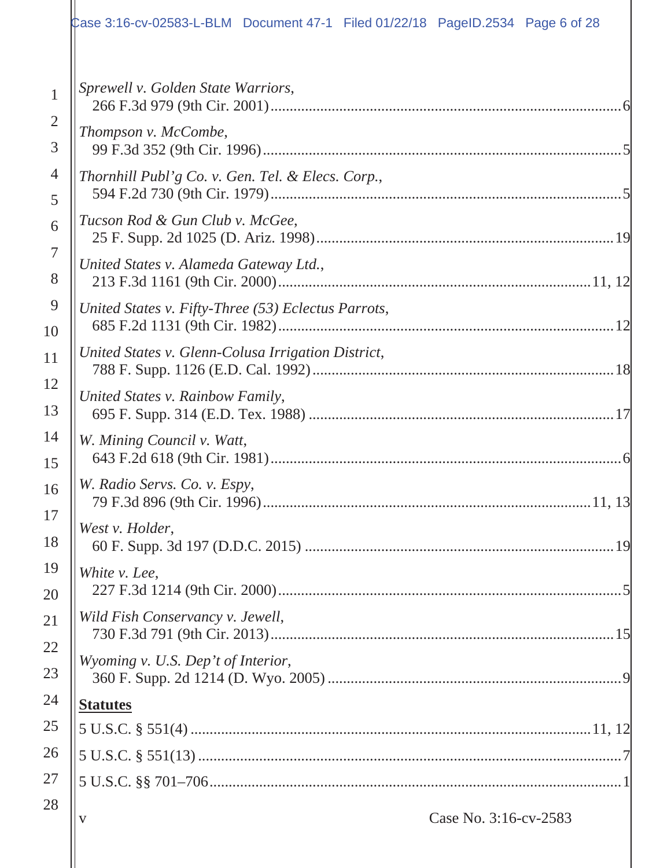# $\text{Case } 3:16$ -cv-02583-L-BLM Document 47-1 Filed 01/22/18 PageID.2534 Page 6 of 28

| $\mathbf{1}$        | Sprewell v. Golden State Warriors,                  |
|---------------------|-----------------------------------------------------|
| $\overline{2}$<br>3 | Thompson v. McCombe,                                |
| $\overline{4}$<br>5 | Thornhill Publ'g Co. v. Gen. Tel. & Elecs. Corp.,   |
| 6                   | Tucson Rod & Gun Club v. McGee,                     |
| $\overline{7}$<br>8 | United States v. Alameda Gateway Ltd.,              |
| 9<br>10             | United States v. Fifty-Three (53) Eclectus Parrots, |
| 11                  | United States v. Glenn-Colusa Irrigation District,  |
| 12<br>13            | United States v. Rainbow Family,                    |
| 14<br>15            | W. Mining Council v. Watt,                          |
| 16                  | W. Radio Servs. Co. v. Espy,                        |
| 17<br>18            | West v. Holder,                                     |
| 19<br>20            | White v. Lee,                                       |
| 21                  | Wild Fish Conservancy v. Jewell,                    |
| 22<br>23            | Wyoming v. U.S. Dep't of Interior,                  |
| 24                  | <b>Statutes</b>                                     |
| 25                  |                                                     |
| 26                  |                                                     |
| 27                  |                                                     |
| 28                  | Case No. 3:16-cv-2583<br>V                          |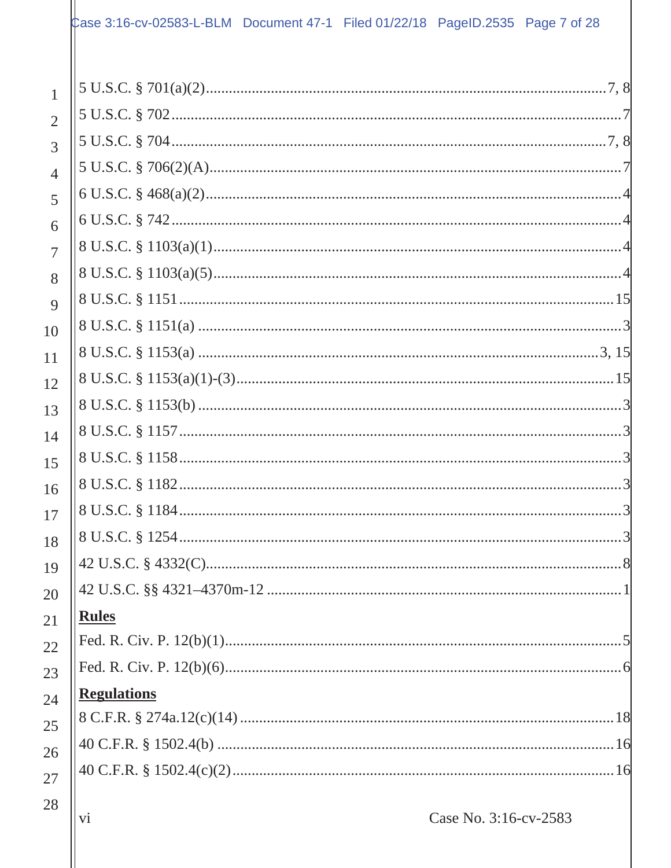| 1              |                    |
|----------------|--------------------|
| $\overline{2}$ |                    |
| 3              |                    |
| $\overline{4}$ |                    |
| 5              |                    |
| 6              |                    |
| $\overline{7}$ |                    |
| 8              |                    |
| 9              |                    |
| 10             |                    |
| 11             |                    |
| 12             |                    |
| 13             |                    |
| 14             |                    |
| 15             |                    |
| 16             |                    |
| 17             |                    |
| 18             |                    |
| 19             |                    |
| 20             |                    |
| 21             | <b>Rules</b>       |
| 22             |                    |
| 23             |                    |
| 24             | <b>Regulations</b> |
| 25             |                    |
| 26             |                    |
| $27\,$         |                    |
|                |                    |

 $\rm{vi}$ 

Case No. 3:16-cv-2583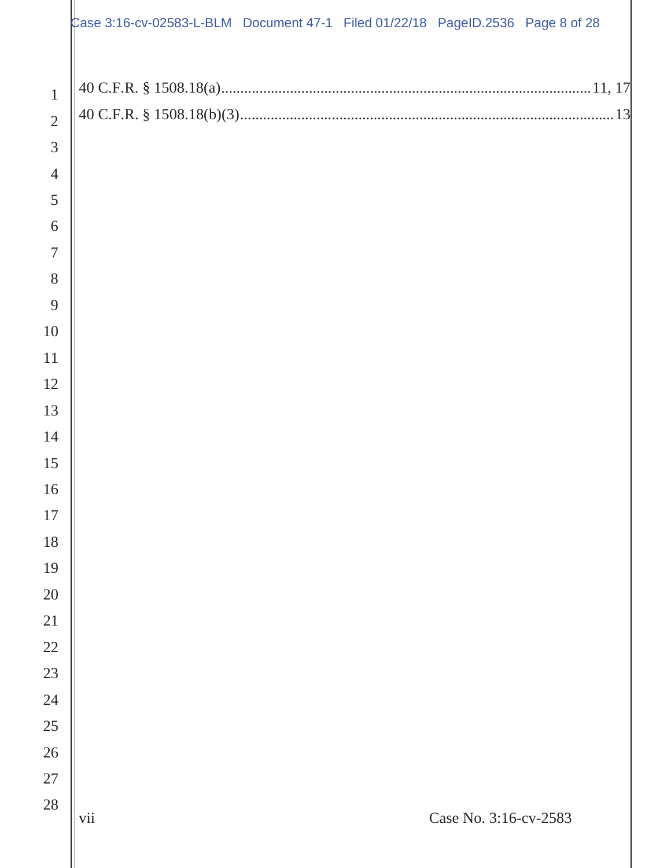|                | $\text{Case } 3:16$ -cv-02583-L-BLM Document 47-1 Filed 01/22/18 PageID.2536 Page 8 of 28 |  |                       |  |
|----------------|-------------------------------------------------------------------------------------------|--|-----------------------|--|
| $\mathbf{1}$   |                                                                                           |  |                       |  |
| $\overline{2}$ |                                                                                           |  |                       |  |
| 3              |                                                                                           |  |                       |  |
| $\overline{4}$ |                                                                                           |  |                       |  |
| 5              |                                                                                           |  |                       |  |
| 6              |                                                                                           |  |                       |  |
| $\overline{7}$ |                                                                                           |  |                       |  |
| 8              |                                                                                           |  |                       |  |
| 9              |                                                                                           |  |                       |  |
| 10             |                                                                                           |  |                       |  |
| 11             |                                                                                           |  |                       |  |
| 12             |                                                                                           |  |                       |  |
| 13             |                                                                                           |  |                       |  |
| 14             |                                                                                           |  |                       |  |
| 15             |                                                                                           |  |                       |  |
| 16             |                                                                                           |  |                       |  |
| $17\,$         |                                                                                           |  |                       |  |
| 18<br>19       |                                                                                           |  |                       |  |
| 20             |                                                                                           |  |                       |  |
| 21             |                                                                                           |  |                       |  |
| 22             |                                                                                           |  |                       |  |
| 23             |                                                                                           |  |                       |  |
| 24             |                                                                                           |  |                       |  |
| 25             |                                                                                           |  |                       |  |
| 26             |                                                                                           |  |                       |  |
| 27             |                                                                                           |  |                       |  |
| 28             | vii                                                                                       |  | Case No. 3:16-cv-2583 |  |
|                |                                                                                           |  |                       |  |
|                |                                                                                           |  |                       |  |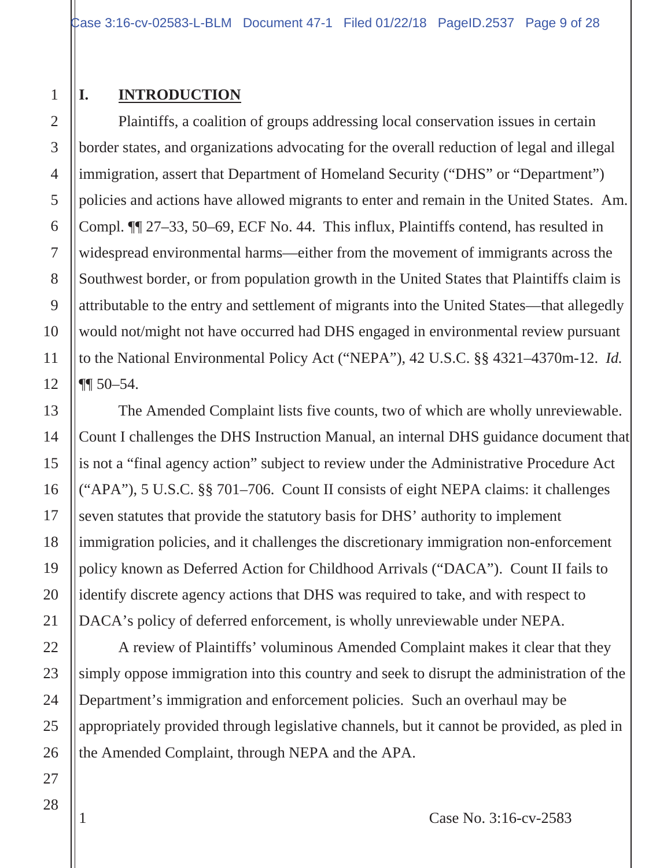## **I. INTRODUCTION**

Plaintiffs, a coalition of groups addressing local conservation issues in certain border states, and organizations advocating for the overall reduction of legal and illegal immigration, assert that Department of Homeland Security ("DHS" or "Department") policies and actions have allowed migrants to enter and remain in the United States. Am. Compl. ¶¶ 27–33, 50–69, ECF No. 44. This influx, Plaintiffs contend, has resulted in widespread environmental harms—either from the movement of immigrants across the Southwest border, or from population growth in the United States that Plaintiffs claim is attributable to the entry and settlement of migrants into the United States—that allegedly would not/might not have occurred had DHS engaged in environmental review pursuant to the National Environmental Policy Act ("NEPA"), 42 U.S.C. §§ 4321–4370m-12. *Id.*  $\P\P$  50–54.

The Amended Complaint lists five counts, two of which are wholly unreviewable. Count I challenges the DHS Instruction Manual, an internal DHS guidance document that is not a "final agency action" subject to review under the Administrative Procedure Act ("APA"), 5 U.S.C. §§ 701–706. Count II consists of eight NEPA claims: it challenges seven statutes that provide the statutory basis for DHS' authority to implement immigration policies, and it challenges the discretionary immigration non-enforcement policy known as Deferred Action for Childhood Arrivals ("DACA"). Count II fails to identify discrete agency actions that DHS was required to take, and with respect to DACA's policy of deferred enforcement, is wholly unreviewable under NEPA.

A review of Plaintiffs' voluminous Amended Complaint makes it clear that they simply oppose immigration into this country and seek to disrupt the administration of the Department's immigration and enforcement policies. Such an overhaul may be appropriately provided through legislative channels, but it cannot be provided, as pled in the Amended Complaint, through NEPA and the APA.

28

1

2

1 Case No. 3:16-cv-2583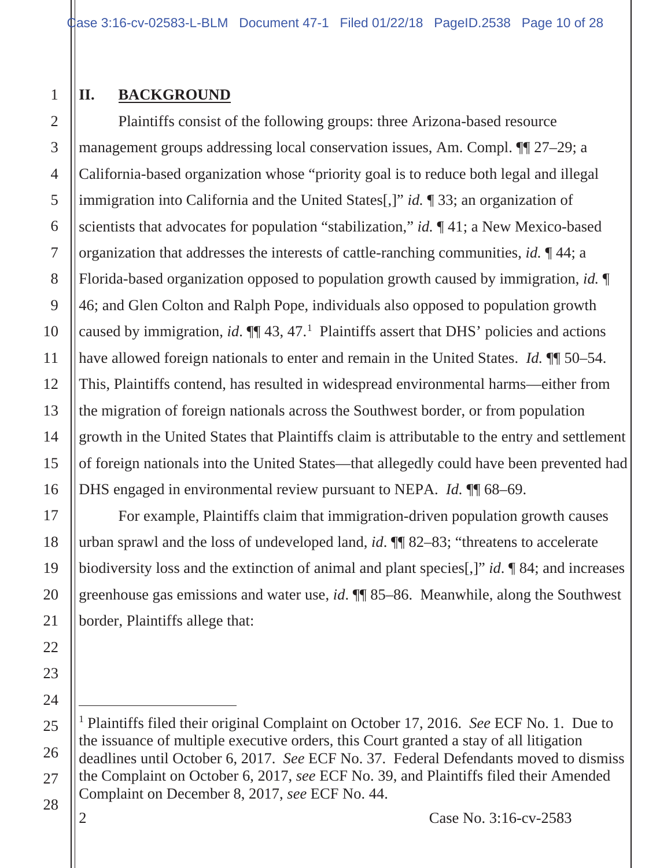## **II. BACKGROUND**

1

2

3

4

5

6

7

8

9

10

11

12

13

14

15

16

17

18

19

Plaintiffs consist of the following groups: three Arizona-based resource management groups addressing local conservation issues, Am. Compl. ¶¶ 27–29; a California-based organization whose "priority goal is to reduce both legal and illegal immigration into California and the United States[,]" *id.* ¶ 33; an organization of scientists that advocates for population "stabilization," *id.* ¶ 41; a New Mexico-based organization that addresses the interests of cattle-ranching communities, *id.* ¶ 44; a Florida-based organization opposed to population growth caused by immigration, *id.* ¶ 46; and Glen Colton and Ralph Pope, individuals also opposed to population growth caused by immigration, *id*. ¶¶ 43, 47.1 Plaintiffs assert that DHS' policies and actions have allowed foreign nationals to enter and remain in the United States. *Id.*  $\P$  50–54. This, Plaintiffs contend, has resulted in widespread environmental harms—either from the migration of foreign nationals across the Southwest border, or from population growth in the United States that Plaintiffs claim is attributable to the entry and settlement of foreign nationals into the United States—that allegedly could have been prevented had DHS engaged in environmental review pursuant to NEPA. *Id.* ¶¶ 68–69.

For example, Plaintiffs claim that immigration-driven population growth causes urban sprawl and the loss of undeveloped land, *id*. ¶¶ 82–83; "threatens to accelerate biodiversity loss and the extinction of animal and plant species[,]" *id*. ¶ 84; and increases greenhouse gas emissions and water use, *id*. ¶¶ 85–86. Meanwhile, along the Southwest border, Plaintiffs allege that:

<sup>1</sup> Plaintiffs filed their original Complaint on October 17, 2016. *See* ECF No. 1. Due to the issuance of multiple executive orders, this Court granted a stay of all litigation deadlines until October 6, 2017. *See* ECF No. 37. Federal Defendants moved to dismiss the Complaint on October 6, 2017, *see* ECF No. 39, and Plaintiffs filed their Amended Complaint on December 8, 2017, *see* ECF No. 44.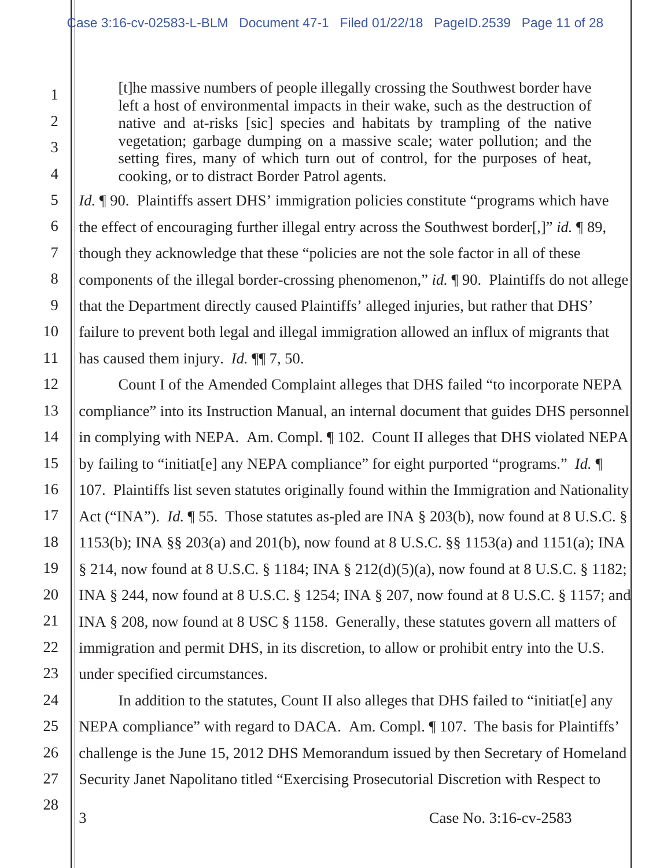[t]he massive numbers of people illegally crossing the Southwest border have left a host of environmental impacts in their wake, such as the destruction of native and at-risks [sic] species and habitats by trampling of the native vegetation; garbage dumping on a massive scale; water pollution; and the setting fires, many of which turn out of control, for the purposes of heat, cooking, or to distract Border Patrol agents.

*Id.* **[90.** Plaintiffs assert DHS' immigration policies constitute "programs which have the effect of encouraging further illegal entry across the Southwest border[,]" *id.* ¶ 89, though they acknowledge that these "policies are not the sole factor in all of these components of the illegal border-crossing phenomenon," *id.* ¶ 90. Plaintiffs do not allege that the Department directly caused Plaintiffs' alleged injuries, but rather that DHS' failure to prevent both legal and illegal immigration allowed an influx of migrants that has caused them injury. *Id.* ¶¶ 7, 50.

Count I of the Amended Complaint alleges that DHS failed "to incorporate NEPA compliance" into its Instruction Manual, an internal document that guides DHS personnel in complying with NEPA. Am. Compl. ¶ 102. Count II alleges that DHS violated NEPA by failing to "initiat[e] any NEPA compliance" for eight purported "programs." *Id.* ¶ 107. Plaintiffs list seven statutes originally found within the Immigration and Nationality Act ("INA"). *Id.* ¶ 55. Those statutes as-pled are INA § 203(b), now found at 8 U.S.C. § 1153(b); INA §§ 203(a) and 201(b), now found at 8 U.S.C. §§ 1153(a) and 1151(a); INA § 214, now found at 8 U.S.C. § 1184; INA § 212(d)(5)(a), now found at 8 U.S.C. § 1182; INA § 244, now found at 8 U.S.C. § 1254; INA § 207, now found at 8 U.S.C. § 1157; and INA § 208, now found at 8 USC § 1158. Generally, these statutes govern all matters of immigration and permit DHS, in its discretion, to allow or prohibit entry into the U.S. under specified circumstances.

In addition to the statutes, Count II also alleges that DHS failed to "initiatell any NEPA compliance" with regard to DACA. Am. Compl. ¶ 107. The basis for Plaintiffs' challenge is the June 15, 2012 DHS Memorandum issued by then Secretary of Homeland Security Janet Napolitano titled "Exercising Prosecutorial Discretion with Respect to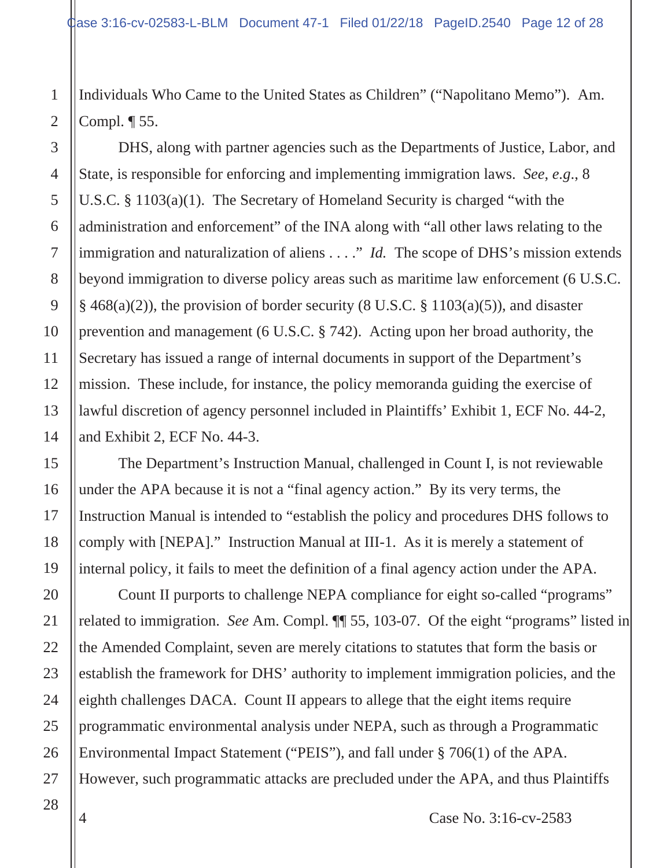Individuals Who Came to the United States as Children" ("Napolitano Memo"). Am. Compl. ¶ 55.

DHS, along with partner agencies such as the Departments of Justice, Labor, and State, is responsible for enforcing and implementing immigration laws. *See*, *e.g*., 8 U.S.C. § 1103(a)(1). The Secretary of Homeland Security is charged "with the administration and enforcement" of the INA along with "all other laws relating to the immigration and naturalization of aliens . . . ." *Id.* The scope of DHS's mission extends beyond immigration to diverse policy areas such as maritime law enforcement (6 U.S.C.  $§$  468(a)(2)), the provision of border security (8 U.S.C. § 1103(a)(5)), and disaster prevention and management (6 U.S.C. § 742). Acting upon her broad authority, the Secretary has issued a range of internal documents in support of the Department's mission. These include, for instance, the policy memoranda guiding the exercise of lawful discretion of agency personnel included in Plaintiffs' Exhibit 1, ECF No. 44-2, and Exhibit 2, ECF No. 44-3.

The Department's Instruction Manual, challenged in Count I, is not reviewable under the APA because it is not a "final agency action." By its very terms, the Instruction Manual is intended to "establish the policy and procedures DHS follows to comply with [NEPA]." Instruction Manual at III-1. As it is merely a statement of internal policy, it fails to meet the definition of a final agency action under the APA.

Count II purports to challenge NEPA compliance for eight so-called "programs" related to immigration. *See* Am. Compl. ¶¶ 55, 103-07. Of the eight "programs" listed in the Amended Complaint, seven are merely citations to statutes that form the basis or establish the framework for DHS' authority to implement immigration policies, and the eighth challenges DACA. Count II appears to allege that the eight items require programmatic environmental analysis under NEPA, such as through a Programmatic Environmental Impact Statement ("PEIS"), and fall under § 706(1) of the APA. However, such programmatic attacks are precluded under the APA, and thus Plaintiffs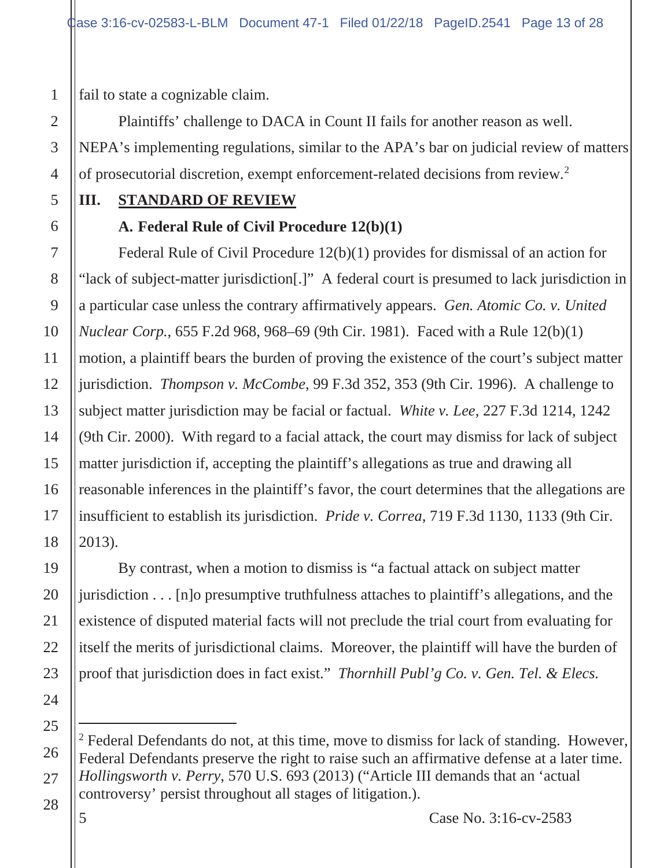fail to state a cognizable claim.

Plaintiffs' challenge to DACA in Count II fails for another reason as well. NEPA's implementing regulations, similar to the APA's bar on judicial review of matters of prosecutorial discretion, exempt enforcement-related decisions from review.2

## **III. STANDARD OF REVIEW**

## **A. Federal Rule of Civil Procedure 12(b)(1)**

Federal Rule of Civil Procedure 12(b)(1) provides for dismissal of an action for "lack of subject-matter jurisdiction[.]" A federal court is presumed to lack jurisdiction in a particular case unless the contrary affirmatively appears. *Gen. Atomic Co. v. United Nuclear Corp.*, 655 F.2d 968, 968–69 (9th Cir. 1981). Faced with a Rule 12(b)(1) motion, a plaintiff bears the burden of proving the existence of the court's subject matter jurisdiction. *Thompson v. McCombe*, 99 F.3d 352, 353 (9th Cir. 1996). A challenge to subject matter jurisdiction may be facial or factual. *White v. Lee*, 227 F.3d 1214, 1242 (9th Cir. 2000). With regard to a facial attack, the court may dismiss for lack of subject matter jurisdiction if, accepting the plaintiff's allegations as true and drawing all reasonable inferences in the plaintiff's favor, the court determines that the allegations are insufficient to establish its jurisdiction. *Pride v. Correa*, 719 F.3d 1130, 1133 (9th Cir. 2013).

By contrast, when a motion to dismiss is "a factual attack on subject matter jurisdiction . . . [n]o presumptive truthfulness attaches to plaintiff's allegations, and the existence of disputed material facts will not preclude the trial court from evaluating for itself the merits of jurisdictional claims. Moreover, the plaintiff will have the burden of proof that jurisdiction does in fact exist." *Thornhill Publ'g Co. v. Gen. Tel. & Elecs.* 

 $2$  Federal Defendants do not, at this time, move to dismiss for lack of standing. However, Federal Defendants preserve the right to raise such an affirmative defense at a later time. *Hollingsworth v. Perry*, 570 U.S. 693 (2013) ("Article III demands that an 'actual controversy' persist throughout all stages of litigation.).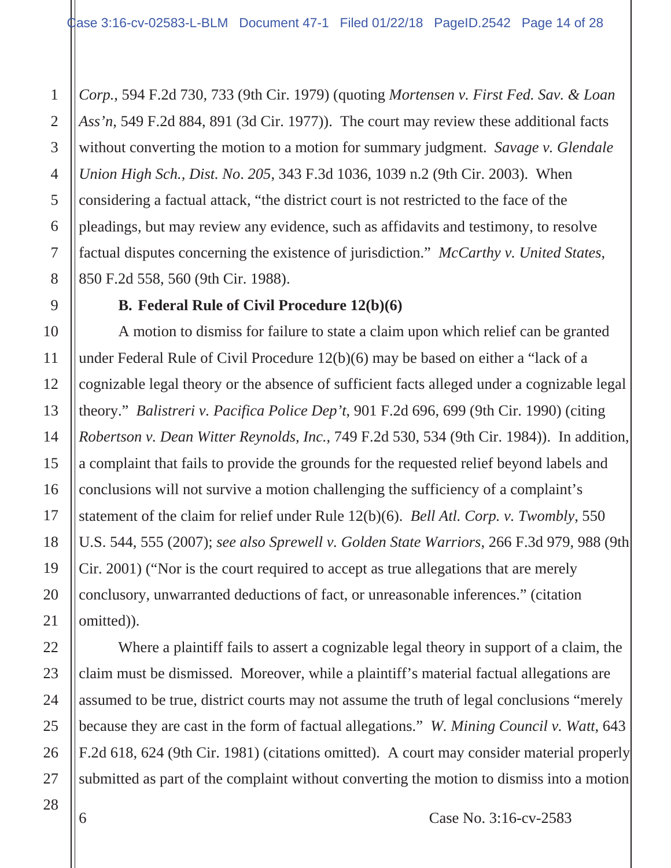*Corp.*, 594 F.2d 730, 733 (9th Cir. 1979) (quoting *Mortensen v. First Fed. Sav. & Loan Ass'n*, 549 F.2d 884, 891 (3d Cir. 1977)). The court may review these additional facts without converting the motion to a motion for summary judgment. *Savage v. Glendale Union High Sch., Dist. No*. *205*, 343 F.3d 1036, 1039 n.2 (9th Cir. 2003). When considering a factual attack, "the district court is not restricted to the face of the pleadings, but may review any evidence, such as affidavits and testimony, to resolve factual disputes concerning the existence of jurisdiction." *McCarthy v. United States*, 850 F.2d 558, 560 (9th Cir. 1988).

#### **B. Federal Rule of Civil Procedure 12(b)(6)**

A motion to dismiss for failure to state a claim upon which relief can be granted under Federal Rule of Civil Procedure 12(b)(6) may be based on either a "lack of a cognizable legal theory or the absence of sufficient facts alleged under a cognizable legal theory." *Balistreri v. Pacifica Police Dep't*, 901 F.2d 696, 699 (9th Cir. 1990) (citing *Robertson v. Dean Witter Reynolds, Inc.*, 749 F.2d 530, 534 (9th Cir. 1984)). In addition, a complaint that fails to provide the grounds for the requested relief beyond labels and conclusions will not survive a motion challenging the sufficiency of a complaint's statement of the claim for relief under Rule 12(b)(6). *Bell Atl. Corp. v. Twombly*, 550 U.S. 544, 555 (2007); *see also Sprewell v. Golden State Warriors*, 266 F.3d 979, 988 (9th Cir. 2001) ("Nor is the court required to accept as true allegations that are merely conclusory, unwarranted deductions of fact, or unreasonable inferences." (citation omitted)).

Where a plaintiff fails to assert a cognizable legal theory in support of a claim, the claim must be dismissed. Moreover, while a plaintiff's material factual allegations are assumed to be true, district courts may not assume the truth of legal conclusions "merely because they are cast in the form of factual allegations." *W. Mining Council v. Watt*, 643 F.2d 618, 624 (9th Cir. 1981) (citations omitted). A court may consider material properly submitted as part of the complaint without converting the motion to dismiss into a motion

1

2

3

4

5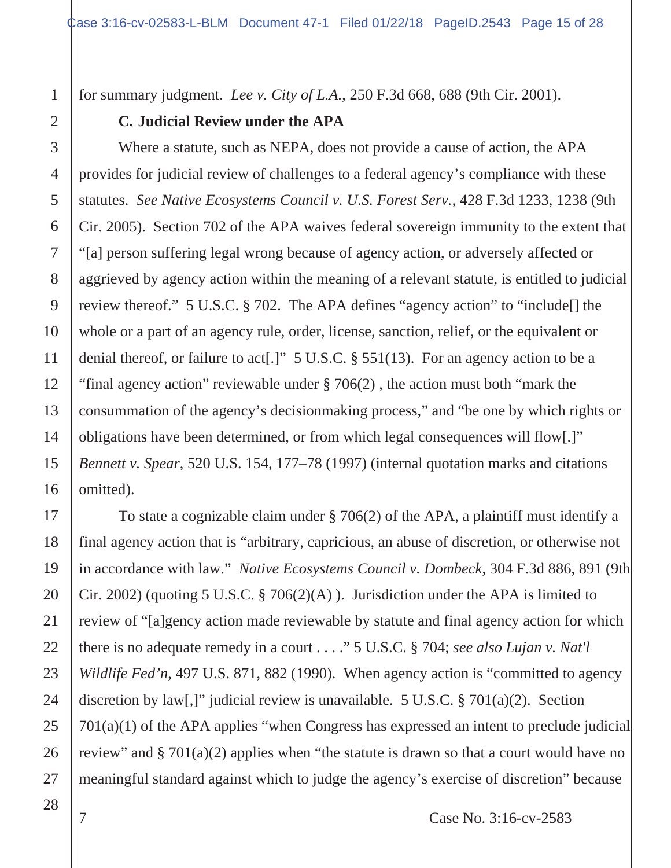for summary judgment. *Lee v. City of L.A.*, 250 F.3d 668, 688 (9th Cir. 2001).

### **C. Judicial Review under the APA**

Where a statute, such as NEPA, does not provide a cause of action, the APA provides for judicial review of challenges to a federal agency's compliance with these statutes. *See Native Ecosystems Council v. U.S. Forest Serv.,* 428 F.3d 1233, 1238 (9th Cir. 2005). Section 702 of the APA waives federal sovereign immunity to the extent that "[a] person suffering legal wrong because of agency action, or adversely affected or aggrieved by agency action within the meaning of a relevant statute, is entitled to judicial review thereof." 5 U.S.C. § 702. The APA defines "agency action" to "include[] the whole or a part of an agency rule, order, license, sanction, relief, or the equivalent or denial thereof, or failure to act[.]" 5 U.S.C. § 551(13). For an agency action to be a "final agency action" reviewable under § 706(2) , the action must both "mark the consummation of the agency's decisionmaking process," and "be one by which rights or obligations have been determined, or from which legal consequences will flow[.]" *Bennett v. Spear*, 520 U.S. 154, 177–78 (1997) (internal quotation marks and citations omitted).

To state a cognizable claim under § 706(2) of the APA, a plaintiff must identify a final agency action that is "arbitrary, capricious, an abuse of discretion, or otherwise not in accordance with law." *Native Ecosystems Council v. Dombeck*, 304 F.3d 886, 891 (9th Cir. 2002) (quoting 5 U.S.C. § 706(2)(A) ). Jurisdiction under the APA is limited to review of "[a]gency action made reviewable by statute and final agency action for which there is no adequate remedy in a court . . . ." 5 U.S.C. § 704; *see also Lujan v. Nat'l Wildlife Fed'n*, 497 U.S. 871, 882 (1990). When agency action is "committed to agency discretion by law[,]" judicial review is unavailable. 5 U.S.C. § 701(a)(2). Section 701(a)(1) of the APA applies "when Congress has expressed an intent to preclude judicial review" and  $\S 701(a)(2)$  applies when "the statute is drawn so that a court would have no meaningful standard against which to judge the agency's exercise of discretion" because

7 Case No. 3:16-cv-2583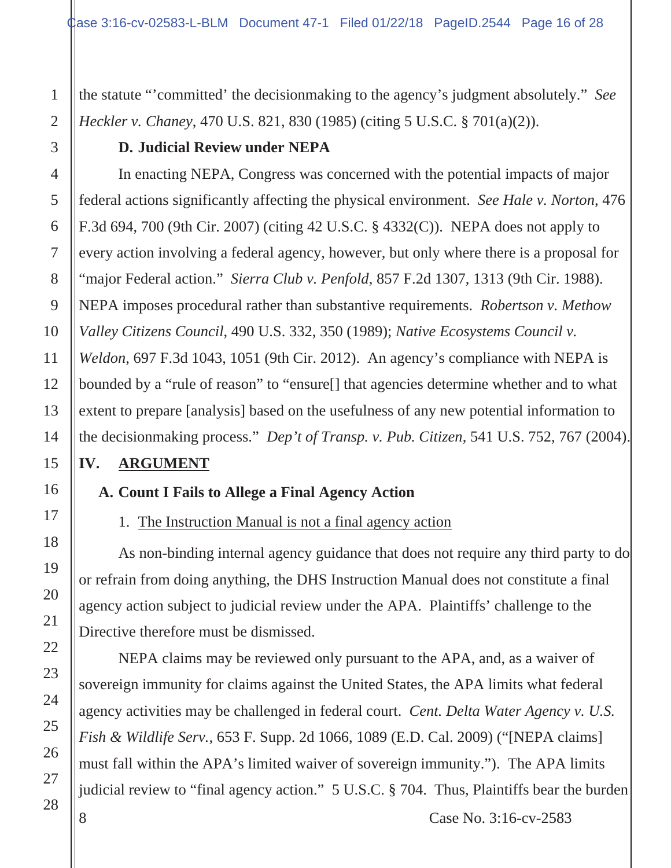the statute "'committed' the decisionmaking to the agency's judgment absolutely." *See Heckler v. Chaney*, 470 U.S. 821, 830 (1985) (citing 5 U.S.C. § 701(a)(2)).

### **D. Judicial Review under NEPA**

In enacting NEPA, Congress was concerned with the potential impacts of major federal actions significantly affecting the physical environment. *See Hale v. Norton*, 476 F.3d 694, 700 (9th Cir. 2007) (citing 42 U.S.C. § 4332(C)). NEPA does not apply to every action involving a federal agency, however, but only where there is a proposal for "major Federal action." *Sierra Club v. Penfold*, 857 F.2d 1307, 1313 (9th Cir. 1988). NEPA imposes procedural rather than substantive requirements. *Robertson v. Methow Valley Citizens Council*, 490 U.S. 332, 350 (1989); *Native Ecosystems Council v. Weldon*, 697 F.3d 1043, 1051 (9th Cir. 2012). An agency's compliance with NEPA is bounded by a "rule of reason" to "ensure[] that agencies determine whether and to what extent to prepare [analysis] based on the usefulness of any new potential information to the decisionmaking process." *Dep't of Transp. v. Pub. Citizen*, 541 U.S. 752, 767 (2004).

### **IV. ARGUMENT**

## **A. Count I Fails to Allege a Final Agency Action**

1. The Instruction Manual is not a final agency action

As non-binding internal agency guidance that does not require any third party to do or refrain from doing anything, the DHS Instruction Manual does not constitute a final agency action subject to judicial review under the APA. Plaintiffs' challenge to the Directive therefore must be dismissed.

8 Case No. 3:16-cv-2583 NEPA claims may be reviewed only pursuant to the APA, and, as a waiver of sovereign immunity for claims against the United States, the APA limits what federal agency activities may be challenged in federal court. *Cent. Delta Water Agency v. U.S. Fish & Wildlife Serv.,* 653 F. Supp. 2d 1066, 1089 (E.D. Cal. 2009) ("[NEPA claims] must fall within the APA's limited waiver of sovereign immunity."). The APA limits judicial review to "final agency action." 5 U.S.C. § 704. Thus, Plaintiffs bear the burden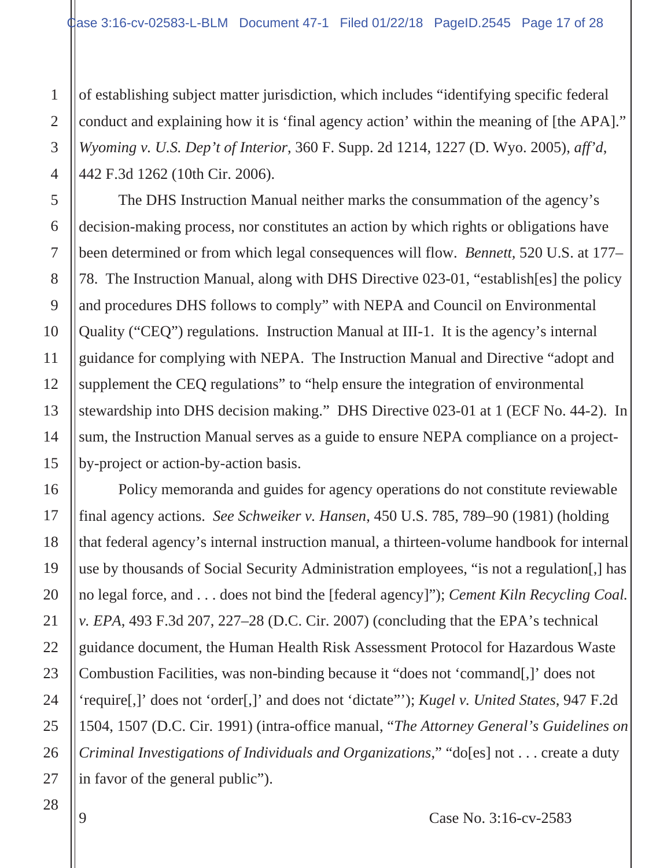of establishing subject matter jurisdiction, which includes "identifying specific federal conduct and explaining how it is 'final agency action' within the meaning of [the APA]." *Wyoming v. U.S. Dep't of Interior*, 360 F. Supp. 2d 1214, 1227 (D. Wyo. 2005), *aff'd*, 442 F.3d 1262 (10th Cir. 2006).

The DHS Instruction Manual neither marks the consummation of the agency's decision-making process, nor constitutes an action by which rights or obligations have been determined or from which legal consequences will flow. *Bennett,* 520 U.S. at 177– 78. The Instruction Manual, along with DHS Directive 023-01, "establish[es] the policy and procedures DHS follows to comply" with NEPA and Council on Environmental Quality ("CEQ") regulations. Instruction Manual at III-1. It is the agency's internal guidance for complying with NEPA. The Instruction Manual and Directive "adopt and supplement the CEQ regulations" to "help ensure the integration of environmental stewardship into DHS decision making." DHS Directive 023-01 at 1 (ECF No. 44-2). In sum, the Instruction Manual serves as a guide to ensure NEPA compliance on a projectby-project or action-by-action basis.

Policy memoranda and guides for agency operations do not constitute reviewable final agency actions. *See Schweiker v. Hansen*, 450 U.S. 785, 789–90 (1981) (holding that federal agency's internal instruction manual, a thirteen-volume handbook for internal use by thousands of Social Security Administration employees, "is not a regulation[,] has no legal force, and . . . does not bind the [federal agency]"); *Cement Kiln Recycling Coal. v. EPA*, 493 F.3d 207, 227–28 (D.C. Cir. 2007) (concluding that the EPA's technical guidance document, the Human Health Risk Assessment Protocol for Hazardous Waste Combustion Facilities, was non-binding because it "does not 'command[,]' does not 'require[,]' does not 'order[,]' and does not 'dictate"'); *Kugel v. United States*, 947 F.2d 1504, 1507 (D.C. Cir. 1991) (intra-office manual, "*The Attorney General's Guidelines on Criminal Investigations of Individuals and Organizations*," "do[es] not . . . create a duty in favor of the general public").

1

2

3

4

5

6

7

8

9

10

11

12

13

14

15

16

17

18

19

20

21

22

23

24

25

26

27

9 Case No. 3:16-cv-2583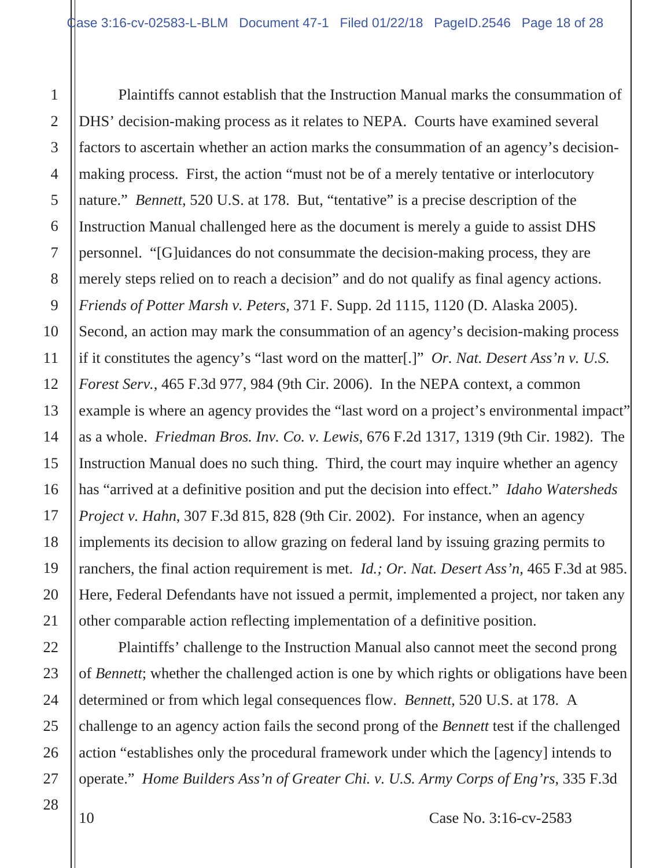Plaintiffs cannot establish that the Instruction Manual marks the consummation of DHS' decision-making process as it relates to NEPA. Courts have examined several factors to ascertain whether an action marks the consummation of an agency's decisionmaking process. First, the action "must not be of a merely tentative or interlocutory nature." *Bennett*, 520 U.S. at 178. But, "tentative" is a precise description of the Instruction Manual challenged here as the document is merely a guide to assist DHS personnel. "[G]uidances do not consummate the decision-making process, they are merely steps relied on to reach a decision" and do not qualify as final agency actions. *Friends of Potter Marsh v. Peters*, 371 F. Supp. 2d 1115, 1120 (D. Alaska 2005). Second, an action may mark the consummation of an agency's decision-making process if it constitutes the agency's "last word on the matter[.]" *Or. Nat. Desert Ass'n v. U.S. Forest Serv.*, 465 F.3d 977, 984 (9th Cir. 2006). In the NEPA context, a common example is where an agency provides the "last word on a project's environmental impact" as a whole. *Friedman Bros. Inv. Co. v. Lewis*, 676 F.2d 1317, 1319 (9th Cir. 1982). The Instruction Manual does no such thing. Third, the court may inquire whether an agency has "arrived at a definitive position and put the decision into effect." *Idaho Watersheds Project v. Hahn*, 307 F.3d 815, 828 (9th Cir. 2002). For instance, when an agency implements its decision to allow grazing on federal land by issuing grazing permits to ranchers, the final action requirement is met. *Id.; Or. Nat. Desert Ass'n*, 465 F.3d at 985. Here, Federal Defendants have not issued a permit, implemented a project, nor taken any other comparable action reflecting implementation of a definitive position.

Plaintiffs' challenge to the Instruction Manual also cannot meet the second prong of *Bennett*; whether the challenged action is one by which rights or obligations have been determined or from which legal consequences flow. *Bennett*, 520 U.S. at 178. A challenge to an agency action fails the second prong of the *Bennett* test if the challenged action "establishes only the procedural framework under which the [agency] intends to operate." *Home Builders Ass'n of Greater Chi. v. U.S. Army Corps of Eng'rs*, 335 F.3d

28

1

2

3

4

5

6

7

8

9

10

11

12

13

14

15

16

17

18

19

20

21

22

23

24

25

26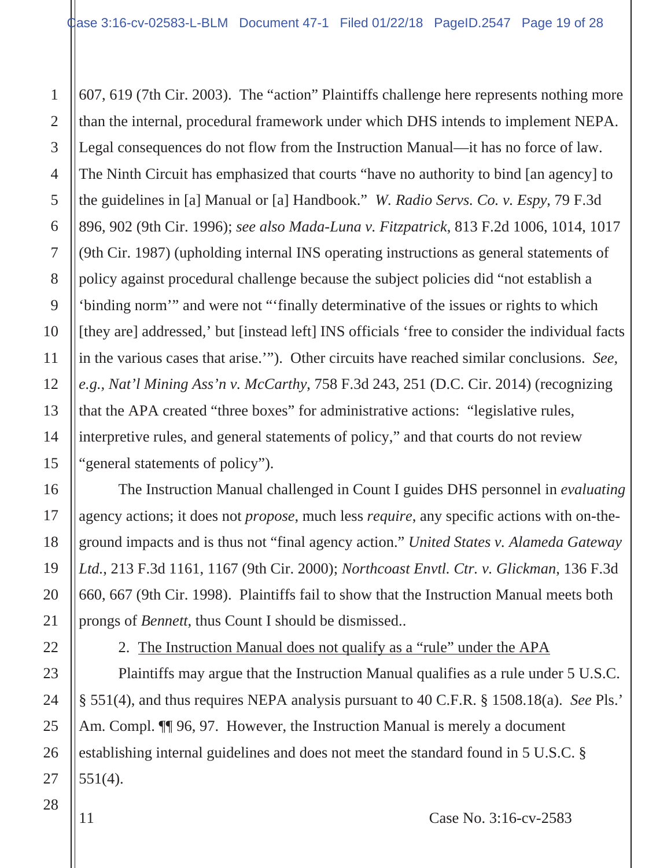607, 619 (7th Cir. 2003). The "action" Plaintiffs challenge here represents nothing more than the internal, procedural framework under which DHS intends to implement NEPA. Legal consequences do not flow from the Instruction Manual—it has no force of law. The Ninth Circuit has emphasized that courts "have no authority to bind [an agency] to the guidelines in [a] Manual or [a] Handbook." *W. Radio Servs. Co. v. Espy*, 79 F.3d 896, 902 (9th Cir. 1996); *see also Mada-Luna v. Fitzpatrick*, 813 F.2d 1006, 1014, 1017 (9th Cir. 1987) (upholding internal INS operating instructions as general statements of policy against procedural challenge because the subject policies did "not establish a 'binding norm'" and were not "'finally determinative of the issues or rights to which [they are] addressed,' but [instead left] INS officials 'free to consider the individual facts in the various cases that arise.'"). Other circuits have reached similar conclusions. *See, e.g., Nat'l Mining Ass'n v. McCarthy*, 758 F.3d 243, 251 (D.C. Cir. 2014) (recognizing that the APA created "three boxes" for administrative actions: "legislative rules, interpretive rules, and general statements of policy," and that courts do not review "general statements of policy").

The Instruction Manual challenged in Count I guides DHS personnel in *evaluating* agency actions; it does not *propose*, much less *require*, any specific actions with on-theground impacts and is thus not "final agency action." *United States v. Alameda Gateway Ltd.*, 213 F.3d 1161, 1167 (9th Cir. 2000); *Northcoast Envtl. Ctr. v. Glickman*, 136 F.3d 660, 667 (9th Cir. 1998). Plaintiffs fail to show that the Instruction Manual meets both prongs of *Bennett*, thus Count I should be dismissed..

2. The Instruction Manual does not qualify as a "rule" under the APA

Plaintiffs may argue that the Instruction Manual qualifies as a rule under 5 U.S.C. § 551(4), and thus requires NEPA analysis pursuant to 40 C.F.R. § 1508.18(a). *See* Pls.' Am. Compl.  $\P$  96, 97. However, the Instruction Manual is merely a document establishing internal guidelines and does not meet the standard found in 5 U.S.C. § 551(4).

1

2

3

4

5

6

7

8

9

10

11

12

13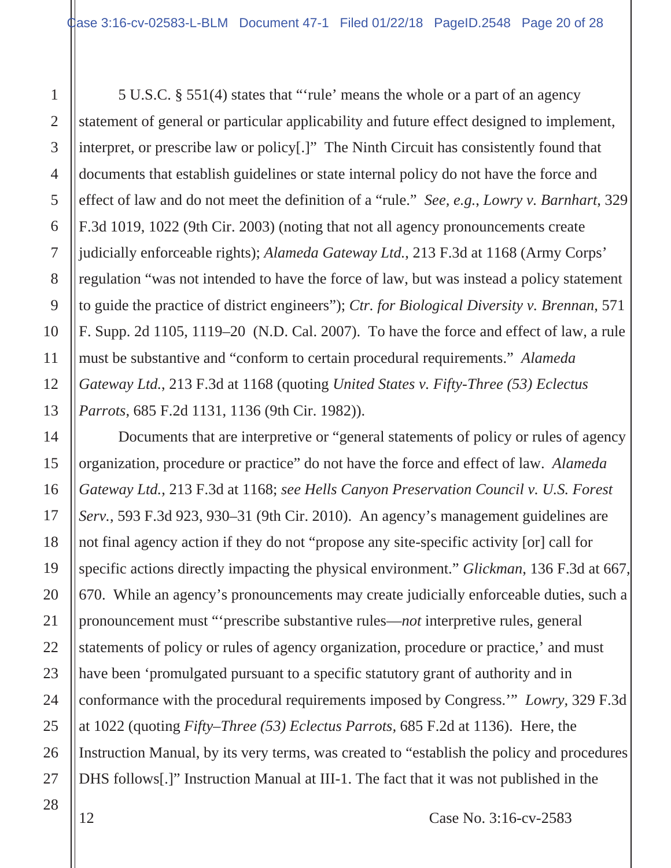5 U.S.C. § 551(4) states that "'rule' means the whole or a part of an agency statement of general or particular applicability and future effect designed to implement, interpret, or prescribe law or policy[.]" The Ninth Circuit has consistently found that documents that establish guidelines or state internal policy do not have the force and effect of law and do not meet the definition of a "rule." *See, e.g.*, *Lowry v. Barnhart*, 329 F.3d 1019, 1022 (9th Cir. 2003) (noting that not all agency pronouncements create judicially enforceable rights); *Alameda Gateway Ltd.*, 213 F.3d at 1168 (Army Corps' regulation "was not intended to have the force of law, but was instead a policy statement to guide the practice of district engineers"); *Ctr. for Biological Diversity v. Brennan*, 571 F. Supp. 2d 1105, 1119–20 (N.D. Cal. 2007). To have the force and effect of law, a rule must be substantive and "conform to certain procedural requirements." *Alameda Gateway Ltd.*, 213 F.3d at 1168 (quoting *United States v. Fifty-Three (53) Eclectus Parrots*, 685 F.2d 1131, 1136 (9th Cir. 1982)).

Documents that are interpretive or "general statements of policy or rules of agency organization, procedure or practice" do not have the force and effect of law. *Alameda Gateway Ltd.*, 213 F.3d at 1168; *see Hells Canyon Preservation Council v. U.S. Forest Serv.*, 593 F.3d 923, 930–31 (9th Cir. 2010). An agency's management guidelines are not final agency action if they do not "propose any site-specific activity [or] call for specific actions directly impacting the physical environment." *Glickman*, 136 F.3d at 667, 670. While an agency's pronouncements may create judicially enforceable duties, such a pronouncement must "'prescribe substantive rules—*not* interpretive rules, general statements of policy or rules of agency organization, procedure or practice,' and must have been 'promulgated pursuant to a specific statutory grant of authority and in conformance with the procedural requirements imposed by Congress.'" *Lowry,* 329 F.3d at 1022 (quoting *Fifty–Three (53) Eclectus Parrots,* 685 F.2d at 1136). Here, the Instruction Manual, by its very terms, was created to "establish the policy and procedures DHS follows[.]" Instruction Manual at III-1. The fact that it was not published in the

12 Case No. 3:16-cv-2583

1

2

3

4

5

6

7

8

9

10

11

12

13

14

15

16

17

18

19

20

21

22

23

24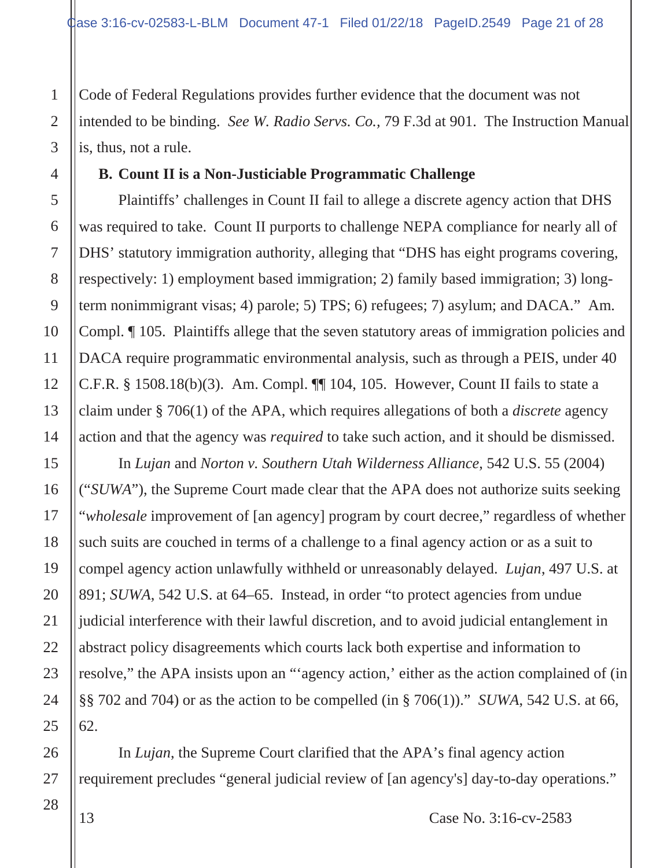Code of Federal Regulations provides further evidence that the document was not intended to be binding. *See W. Radio Servs. Co.,* 79 F.3d at 901. The Instruction Manual is, thus, not a rule.

#### **B. Count II is a Non-Justiciable Programmatic Challenge**

Plaintiffs' challenges in Count II fail to allege a discrete agency action that DHS was required to take. Count II purports to challenge NEPA compliance for nearly all of DHS' statutory immigration authority, alleging that "DHS has eight programs covering, respectively: 1) employment based immigration; 2) family based immigration; 3) longterm nonimmigrant visas; 4) parole; 5) TPS; 6) refugees; 7) asylum; and DACA." Am. Compl. ¶ 105. Plaintiffs allege that the seven statutory areas of immigration policies and DACA require programmatic environmental analysis, such as through a PEIS, under 40 C.F.R. § 1508.18(b)(3). Am. Compl. ¶¶ 104, 105. However, Count II fails to state a claim under § 706(1) of the APA, which requires allegations of both a *discrete* agency action and that the agency was *required* to take such action, and it should be dismissed.

In *Lujan* and *Norton v. Southern Utah Wilderness Alliance*, 542 U.S. 55 (2004) ("*SUWA*"), the Supreme Court made clear that the APA does not authorize suits seeking "*wholesale* improvement of [an agency] program by court decree," regardless of whether such suits are couched in terms of a challenge to a final agency action or as a suit to compel agency action unlawfully withheld or unreasonably delayed. *Lujan*, 497 U.S. at 891; *SUWA*, 542 U.S. at 64–65. Instead, in order "to protect agencies from undue judicial interference with their lawful discretion, and to avoid judicial entanglement in abstract policy disagreements which courts lack both expertise and information to resolve," the APA insists upon an "'agency action,' either as the action complained of (in §§ 702 and 704) or as the action to be compelled (in § 706(1))." *SUWA*, 542 U.S. at 66, 62.

In *Lujan*, the Supreme Court clarified that the APA's final agency action requirement precludes "general judicial review of [an agency's] day-to-day operations."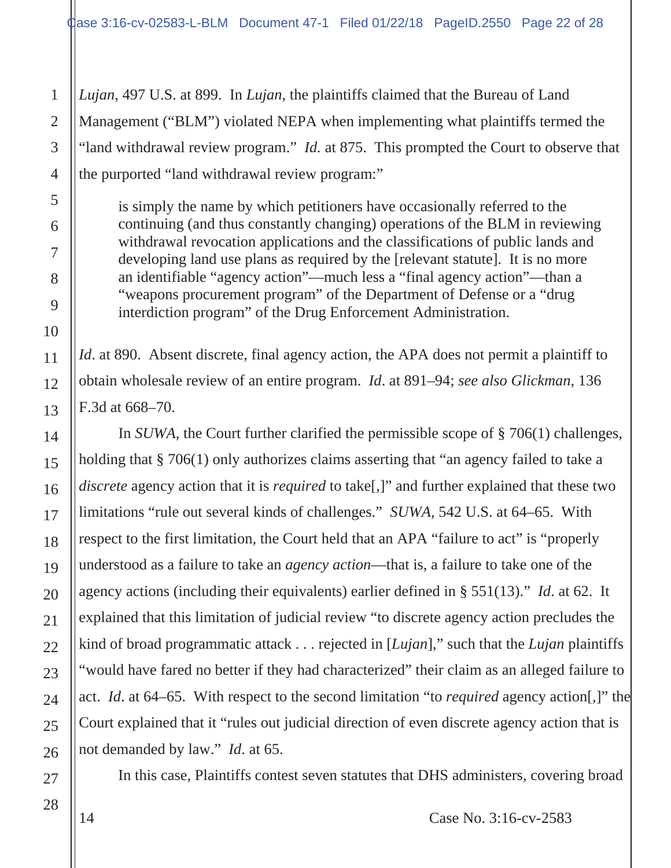*Lujan*, 497 U.S. at 899. In *Lujan*, the plaintiffs claimed that the Bureau of Land Management ("BLM") violated NEPA when implementing what plaintiffs termed the "land withdrawal review program." *Id.* at 875. This prompted the Court to observe that the purported "land withdrawal review program:"

is simply the name by which petitioners have occasionally referred to the continuing (and thus constantly changing) operations of the BLM in reviewing withdrawal revocation applications and the classifications of public lands and developing land use plans as required by the [relevant statute]. It is no more an identifiable "agency action"—much less a "final agency action"—than a "weapons procurement program" of the Department of Defense or a "drug interdiction program" of the Drug Enforcement Administration.

*Id.* at 890. Absent discrete, final agency action, the APA does not permit a plaintiff to obtain wholesale review of an entire program. *Id*. at 891–94; *see also Glickman*, 136 F.3d at 668–70.

In *SUWA,* the Court further clarified the permissible scope of § 706(1) challenges, holding that § 706(1) only authorizes claims asserting that "an agency failed to take a *discrete* agency action that it is *required* to take[,]" and further explained that these two limitations "rule out several kinds of challenges." *SUWA*, 542 U.S. at 64–65. With respect to the first limitation, the Court held that an APA "failure to act" is "properly understood as a failure to take an *agency action*—that is, a failure to take one of the agency actions (including their equivalents) earlier defined in § 551(13)." *Id*. at 62. It explained that this limitation of judicial review "to discrete agency action precludes the kind of broad programmatic attack . . . rejected in [*Lujan*]," such that the *Lujan* plaintiffs "would have fared no better if they had characterized" their claim as an alleged failure to act. *Id*. at 64–65. With respect to the second limitation "to *required* agency action[,]" the Court explained that it "rules out judicial direction of even discrete agency action that is not demanded by law." *Id*. at 65.

In this case, Plaintiffs contest seven statutes that DHS administers, covering broad

1

2

3

4

5

6

7

8

9

10

11

12

13

14

15

16

17

18

19

20

21

22

23

24

25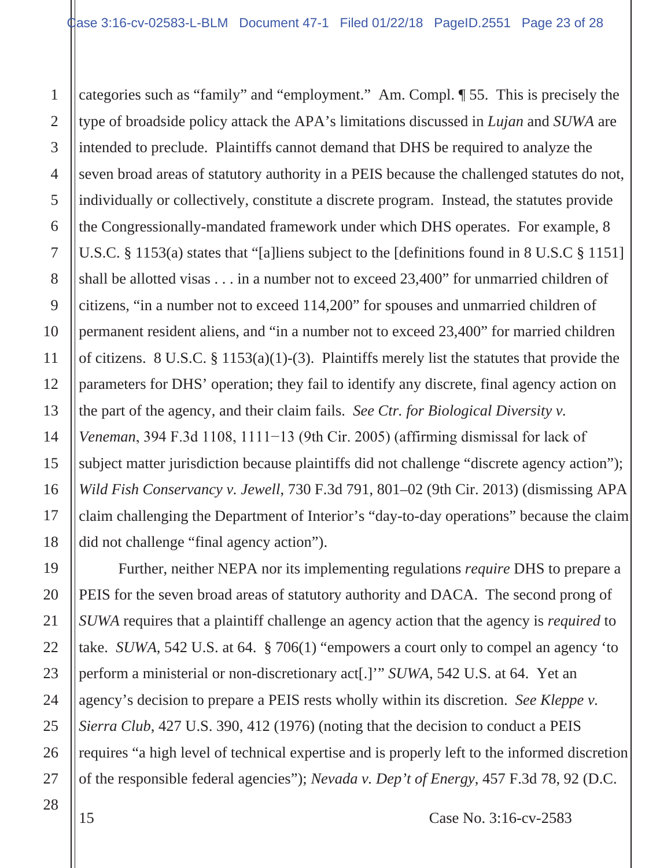categories such as "family" and "employment." Am. Compl. ¶ 55. This is precisely the type of broadside policy attack the APA's limitations discussed in *Lujan* and *SUWA* are intended to preclude. Plaintiffs cannot demand that DHS be required to analyze the seven broad areas of statutory authority in a PEIS because the challenged statutes do not, individually or collectively, constitute a discrete program. Instead, the statutes provide the Congressionally-mandated framework under which DHS operates. For example, 8 U.S.C. § 1153(a) states that "[a]liens subject to the [definitions found in 8 U.S.C § 1151] shall be allotted visas . . . in a number not to exceed 23,400" for unmarried children of citizens, "in a number not to exceed 114,200" for spouses and unmarried children of permanent resident aliens, and "in a number not to exceed 23,400" for married children of citizens. 8 U.S.C. § 1153(a)(1)-(3). Plaintiffs merely list the statutes that provide the parameters for DHS' operation; they fail to identify any discrete, final agency action on the part of the agency, and their claim fails. *See Ctr. for Biological Diversity v.*  Veneman, 394 F.3d 1108, 1111-13 (9th Cir. 2005) (affirming dismissal for lack of subject matter jurisdiction because plaintiffs did not challenge "discrete agency action"); *Wild Fish Conservancy v. Jewell*, 730 F.3d 791, 801–02 (9th Cir. 2013) (dismissing APA claim challenging the Department of Interior's "day-to-day operations" because the claim did not challenge "final agency action").

Further, neither NEPA nor its implementing regulations *require* DHS to prepare a PEIS for the seven broad areas of statutory authority and DACA. The second prong of *SUWA* requires that a plaintiff challenge an agency action that the agency is *required* to take. *SUWA*, 542 U.S. at 64. § 706(1) "empowers a court only to compel an agency 'to perform a ministerial or non-discretionary act[.]'" *SUWA*, 542 U.S. at 64. Yet an agency's decision to prepare a PEIS rests wholly within its discretion. *See Kleppe v. Sierra Club*, 427 U.S. 390, 412 (1976) (noting that the decision to conduct a PEIS requires "a high level of technical expertise and is properly left to the informed discretion of the responsible federal agencies"); *Nevada v. Dep't of Energy*, 457 F.3d 78, 92 (D.C.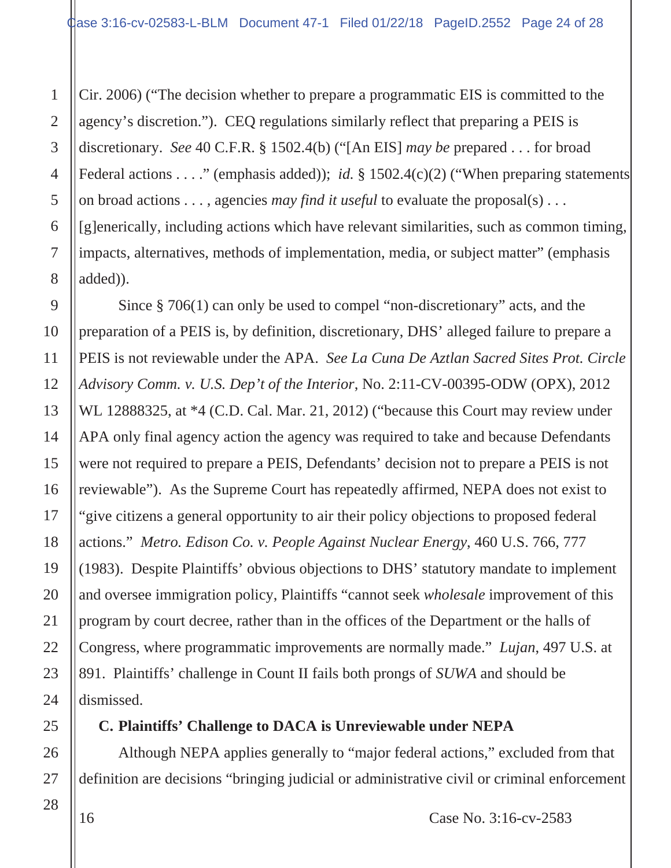Cir. 2006) ("The decision whether to prepare a programmatic EIS is committed to the agency's discretion."). CEQ regulations similarly reflect that preparing a PEIS is discretionary. *See* 40 C.F.R. § 1502.4(b) ("[An EIS] *may be* prepared . . . for broad Federal actions . . . ." (emphasis added)); *id.* § 1502.4(c)(2) ("When preparing statements on broad actions . . . , agencies *may find it useful* to evaluate the proposal(s) . . . [g]enerically, including actions which have relevant similarities, such as common timing, impacts, alternatives, methods of implementation, media, or subject matter" (emphasis added)).

Since § 706(1) can only be used to compel "non-discretionary" acts, and the preparation of a PEIS is, by definition, discretionary, DHS' alleged failure to prepare a PEIS is not reviewable under the APA. *See La Cuna De Aztlan Sacred Sites Prot. Circle Advisory Comm. v. U.S. Dep't of the Interior*, No. 2:11-CV-00395-ODW (OPX), 2012 WL 12888325, at \*4 (C.D. Cal. Mar. 21, 2012) ("because this Court may review under APA only final agency action the agency was required to take and because Defendants were not required to prepare a PEIS, Defendants' decision not to prepare a PEIS is not reviewable"). As the Supreme Court has repeatedly affirmed, NEPA does not exist to "give citizens a general opportunity to air their policy objections to proposed federal actions." *Metro. Edison Co. v. People Against Nuclear Energy*, 460 U.S. 766, 777 (1983). Despite Plaintiffs' obvious objections to DHS' statutory mandate to implement and oversee immigration policy, Plaintiffs "cannot seek *wholesale* improvement of this program by court decree, rather than in the offices of the Department or the halls of Congress, where programmatic improvements are normally made." *Lujan*, 497 U.S. at 891. Plaintiffs' challenge in Count II fails both prongs of *SUWA* and should be dismissed.

### **C. Plaintiffs' Challenge to DACA is Unreviewable under NEPA**

Although NEPA applies generally to "major federal actions," excluded from that definition are decisions "bringing judicial or administrative civil or criminal enforcement

28

1

2

3

4

5

6

7

8

9

10

11

12

13

14

15

16

17

18

19

20

21

22

23

24

25

26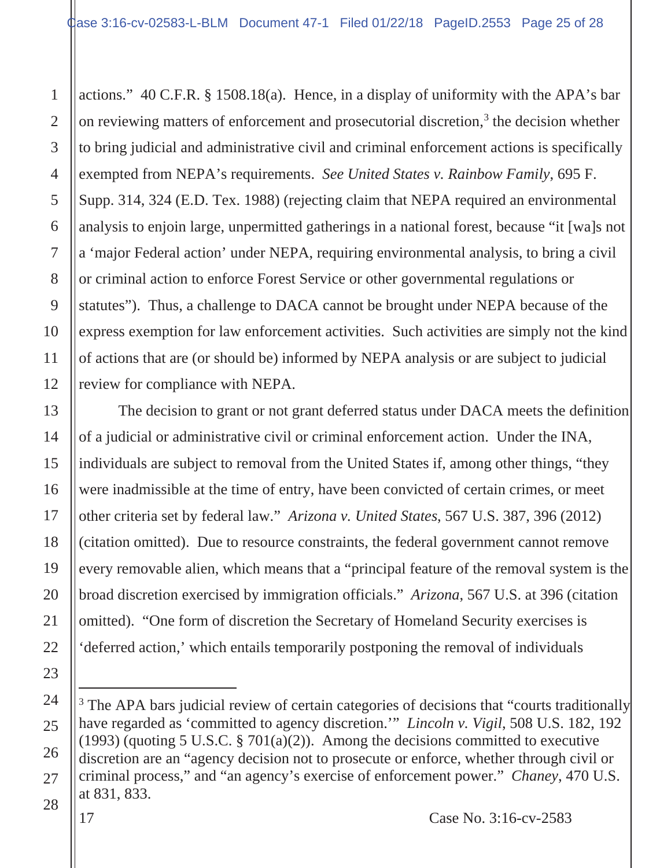actions." 40 C.F.R. § 1508.18(a). Hence, in a display of uniformity with the APA's bar on reviewing matters of enforcement and prosecutorial discretion,<sup>3</sup> the decision whether to bring judicial and administrative civil and criminal enforcement actions is specifically exempted from NEPA's requirements. *See United States v. Rainbow Family*, 695 F. Supp. 314, 324 (E.D. Tex. 1988) (rejecting claim that NEPA required an environmental analysis to enjoin large, unpermitted gatherings in a national forest, because "it [wa]s not a 'major Federal action' under NEPA, requiring environmental analysis, to bring a civil or criminal action to enforce Forest Service or other governmental regulations or statutes"). Thus, a challenge to DACA cannot be brought under NEPA because of the express exemption for law enforcement activities. Such activities are simply not the kind of actions that are (or should be) informed by NEPA analysis or are subject to judicial review for compliance with NEPA.

The decision to grant or not grant deferred status under DACA meets the definition of a judicial or administrative civil or criminal enforcement action. Under the INA, individuals are subject to removal from the United States if, among other things, "they were inadmissible at the time of entry, have been convicted of certain crimes, or meet other criteria set by federal law." *Arizona v. United States*, 567 U.S. 387, 396 (2012) (citation omitted). Due to resource constraints, the federal government cannot remove every removable alien, which means that a "principal feature of the removal system is the broad discretion exercised by immigration officials." *Arizona*, 567 U.S. at 396 (citation omitted). "One form of discretion the Secretary of Homeland Security exercises is 'deferred action,' which entails temporarily postponing the removal of individuals

1

<sup>&</sup>lt;sup>3</sup> The APA bars judicial review of certain categories of decisions that "courts traditionally have regarded as 'committed to agency discretion.'" *Lincoln v. Vigil*, 508 U.S. 182, 192 (1993) (quoting 5 U.S.C.  $\S 701(a)(2)$ ). Among the decisions committed to executive discretion are an "agency decision not to prosecute or enforce, whether through civil or criminal process," and "an agency's exercise of enforcement power." *Chaney*, 470 U.S. at 831, 833.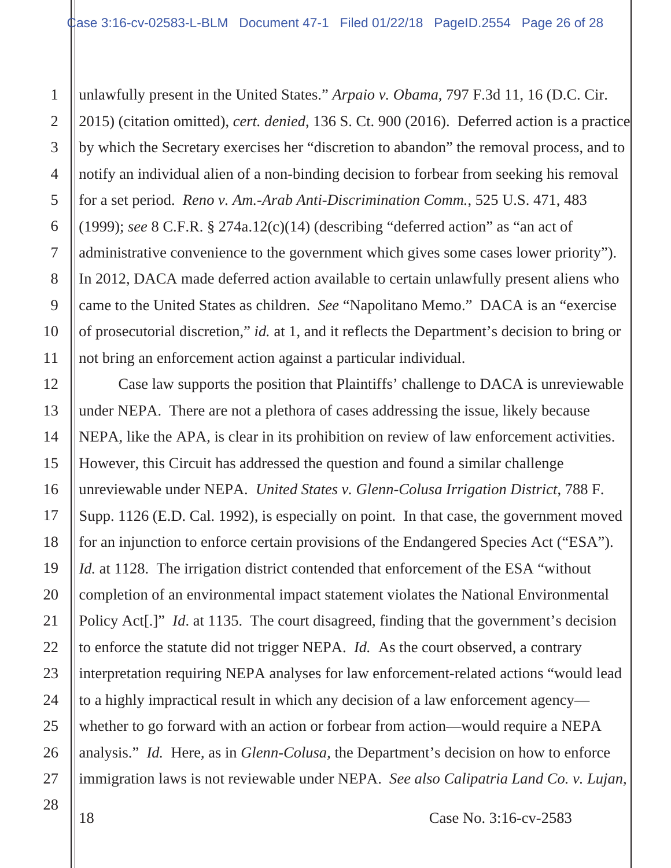unlawfully present in the United States." *Arpaio v. Obama*, 797 F.3d 11, 16 (D.C. Cir. 2015) (citation omitted), *cert. denied*, 136 S. Ct. 900 (2016). Deferred action is a practice by which the Secretary exercises her "discretion to abandon" the removal process, and to notify an individual alien of a non-binding decision to forbear from seeking his removal for a set period. *Reno v. Am.-Arab Anti-Discrimination Comm.*, 525 U.S. 471, 483 (1999); *see* 8 C.F.R. § 274a.12(c)(14) (describing "deferred action" as "an act of administrative convenience to the government which gives some cases lower priority"). In 2012, DACA made deferred action available to certain unlawfully present aliens who came to the United States as children. *See* "Napolitano Memo." DACA is an "exercise of prosecutorial discretion," *id.* at 1, and it reflects the Department's decision to bring or not bring an enforcement action against a particular individual.

Case law supports the position that Plaintiffs' challenge to DACA is unreviewable under NEPA. There are not a plethora of cases addressing the issue, likely because NEPA, like the APA, is clear in its prohibition on review of law enforcement activities. However, this Circuit has addressed the question and found a similar challenge unreviewable under NEPA. *United States v. Glenn-Colusa Irrigation District*, 788 F. Supp. 1126 (E.D. Cal. 1992), is especially on point. In that case, the government moved for an injunction to enforce certain provisions of the Endangered Species Act ("ESA"). *Id.* at 1128. The irrigation district contended that enforcement of the ESA "without completion of an environmental impact statement violates the National Environmental Policy Act<sup>[1]</sup> *Id.* at 1135. The court disagreed, finding that the government's decision to enforce the statute did not trigger NEPA. *Id.* As the court observed, a contrary interpretation requiring NEPA analyses for law enforcement-related actions "would lead to a highly impractical result in which any decision of a law enforcement agency whether to go forward with an action or forbear from action—would require a NEPA analysis." *Id.* Here, as in *Glenn-Colusa*, the Department's decision on how to enforce immigration laws is not reviewable under NEPA. *See also Calipatria Land Co. v. Lujan*,

28

1

2

3

4

5

6

7

8

9

10

11

12

13

14

15

16

17

18

19

20

21

22

23

24

25

26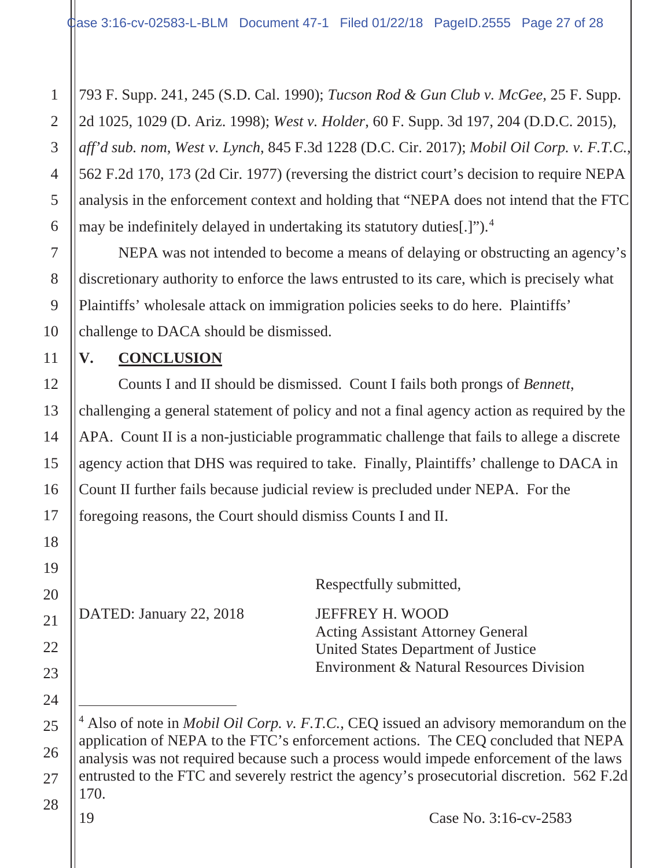793 F. Supp. 241, 245 (S.D. Cal. 1990); *Tucson Rod & Gun Club v. McGee,* 25 F. Supp. 2d 1025, 1029 (D. Ariz. 1998); *West v. Holder*, 60 F. Supp. 3d 197, 204 (D.D.C. 2015), *aff'd sub. nom*, *West v. Lynch*, 845 F.3d 1228 (D.C. Cir. 2017); *Mobil Oil Corp. v. F.T.C.*, 562 F.2d 170, 173 (2d Cir. 1977) (reversing the district court's decision to require NEPA analysis in the enforcement context and holding that "NEPA does not intend that the FTC may be indefinitely delayed in undertaking its statutory duties[.]").<sup>4</sup>

NEPA was not intended to become a means of delaying or obstructing an agency's discretionary authority to enforce the laws entrusted to its care, which is precisely what Plaintiffs' wholesale attack on immigration policies seeks to do here. Plaintiffs' challenge to DACA should be dismissed.

### **V. CONCLUSION**

1

2

3

4

5

6

7

8

9

10

11

12

13

14

15

16

17

18

19

20

21

22

23

24

25

26

27

28

Counts I and II should be dismissed. Count I fails both prongs of *Bennett*, challenging a general statement of policy and not a final agency action as required by the APA. Count II is a non-justiciable programmatic challenge that fails to allege a discrete agency action that DHS was required to take. Finally, Plaintiffs' challenge to DACA in Count II further fails because judicial review is precluded under NEPA. For the foregoing reasons, the Court should dismiss Counts I and II.

Respectfully submitted,

DATED: January 22, 2018 JEFFREY H. WOOD

Acting Assistant Attorney General United States Department of Justice Environment & Natural Resources Division

<sup>4</sup> Also of note in *Mobil Oil Corp. v. F.T.C.*, CEQ issued an advisory memorandum on the application of NEPA to the FTC's enforcement actions. The CEQ concluded that NEPA analysis was not required because such a process would impede enforcement of the laws entrusted to the FTC and severely restrict the agency's prosecutorial discretion. 562 F.2d 170.

19 Case No. 3:16-cv-2583